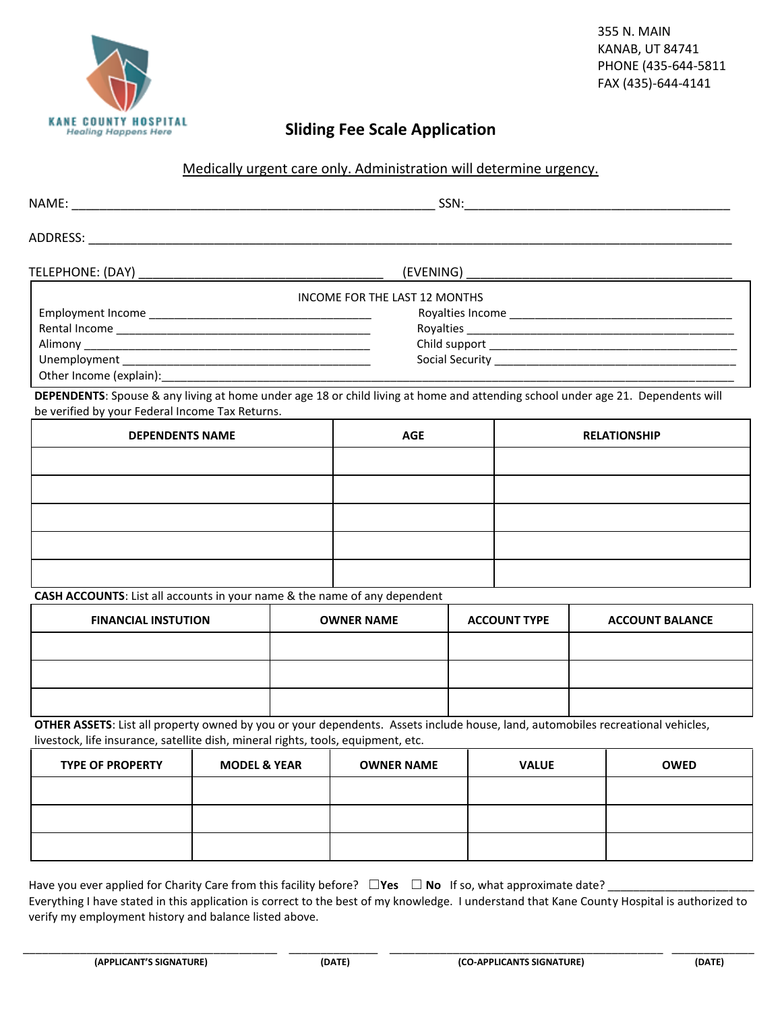

### **Sliding Fee Scale Application**

#### Medically urgent care only. Administration will determine urgency.

| ADDRESS:     |                               |  |  |  |
|--------------|-------------------------------|--|--|--|
|              |                               |  |  |  |
|              | INCOME FOR THE LAST 12 MONTHS |  |  |  |
|              |                               |  |  |  |
|              |                               |  |  |  |
|              |                               |  |  |  |
| Unemployment | Social Security ____________  |  |  |  |

Other Income (explain):

**DEPENDENTS**: Spouse & any living at home under age 18 or child living at home and attending school under age 21. Dependents will be verified by your Federal Income Tax Returns.

| <b>DEPENDENTS NAME</b> | <b>AGE</b> | <b>RELATIONSHIP</b> |
|------------------------|------------|---------------------|
|                        |            |                     |
|                        |            |                     |
|                        |            |                     |
|                        |            |                     |
|                        |            |                     |

#### **CASH ACCOUNTS**: List all accounts in your name & the name of any dependent

| <b>FINANCIAL INSTUTION</b> | <b>OWNER NAME</b> | <b>ACCOUNT TYPE</b> | <b>ACCOUNT BALANCE</b> |
|----------------------------|-------------------|---------------------|------------------------|
|                            |                   |                     |                        |
|                            |                   |                     |                        |
|                            |                   |                     |                        |

**OTHER ASSETS**: List all property owned by you or your dependents. Assets include house, land, automobiles recreational vehicles, livestock, life insurance, satellite dish, mineral rights, tools, equipment, etc.

| <b>TYPE OF PROPERTY</b> | <b>MODEL &amp; YEAR</b> | <b>OWNER NAME</b> | <b>VALUE</b> | <b>OWED</b> |
|-------------------------|-------------------------|-------------------|--------------|-------------|
|                         |                         |                   |              |             |
|                         |                         |                   |              |             |
|                         |                         |                   |              |             |

Have you ever applied for Charity Care from this facility before? □Yes □ No If so, what approximate date? \_

Everything I have stated in this application is correct to the best of my knowledge. I understand that Kane County Hospital is authorized to verify my employment history and balance listed above.